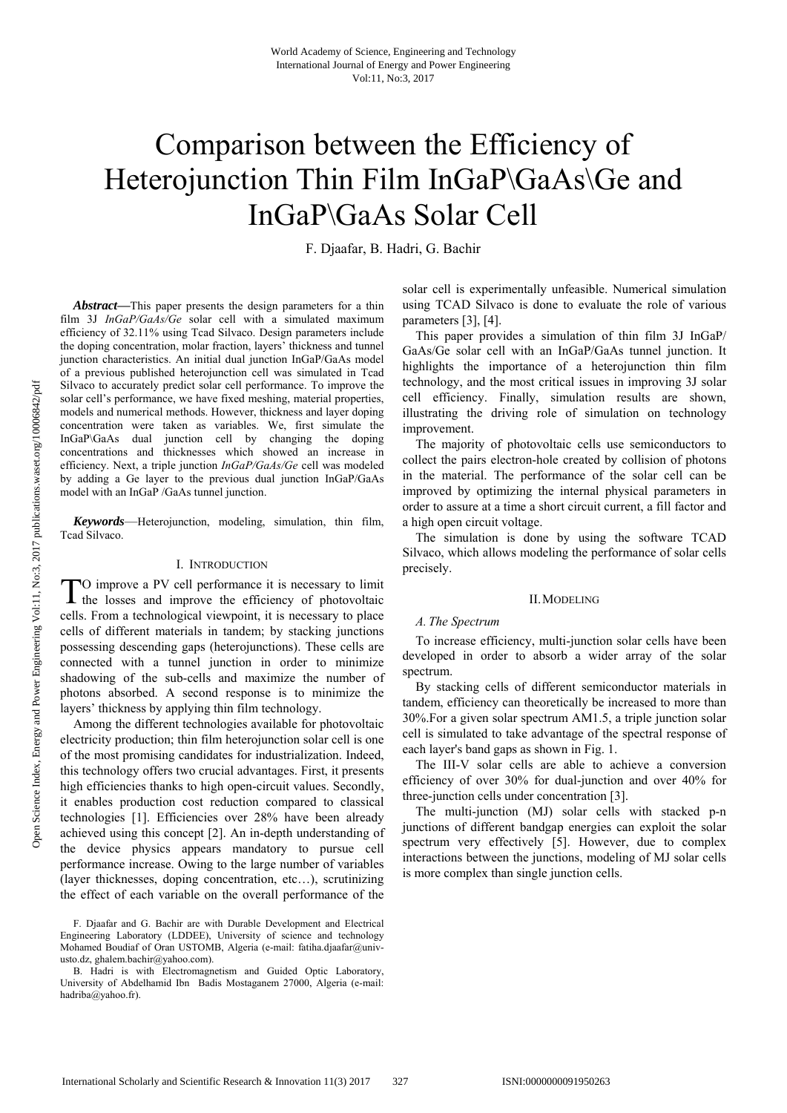# Comparison between the Efficiency of Heterojunction Thin Film InGaP\GaAs\Ge and InGaP\GaAs Solar Cell

F. Djaafar, B. Hadri, G. Bachir

*Abstract***—**This paper presents the design parameters for a thin film 3J *InGaP/GaAs/Ge* solar cell with a simulated maximum efficiency of 32.11% using Tcad Silvaco. Design parameters include the doping concentration, molar fraction, layers' thickness and tunnel junction characteristics. An initial dual junction InGaP/GaAs model of a previous published heterojunction cell was simulated in Tcad Silvaco to accurately predict solar cell performance. To improve the solar cell's performance, we have fixed meshing, material properties, models and numerical methods. However, thickness and layer doping concentration were taken as variables. We, first simulate the InGaP\GaAs dual junction cell by changing the doping concentrations and thicknesses which showed an increase in efficiency. Next, a triple junction *InGaP/GaAs/Ge* cell was modeled by adding a Ge layer to the previous dual junction InGaP/GaAs model with an InGaP /GaAs tunnel junction.

*Keywords*—Heterojunction, modeling, simulation, thin film, Tcad Silvaco.

## I. INTRODUCTION

O improve a PV cell performance it is necessary to limit TO improve a PV cell performance it is necessary to limit the losses and improve the efficiency of photovoltaic cells. From a technological viewpoint, it is necessary to place cells of different materials in tandem; by stacking junctions possessing descending gaps (heterojunctions). These cells are connected with a tunnel junction in order to minimize shadowing of the sub-cells and maximize the number of photons absorbed. A second response is to minimize the layers' thickness by applying thin film technology.

Among the different technologies available for photovoltaic electricity production; thin film heterojunction solar cell is one of the most promising candidates for industrialization. Indeed, this technology offers two crucial advantages. First, it presents high efficiencies thanks to high open-circuit values. Secondly, it enables production cost reduction compared to classical technologies [1]. Efficiencies over 28% have been already achieved using this concept [2]. An in-depth understanding of the device physics appears mandatory to pursue cell performance increase. Owing to the large number of variables (layer thicknesses, doping concentration, etc…), scrutinizing the effect of each variable on the overall performance of the

solar cell is experimentally unfeasible. Numerical simulation using TCAD Silvaco is done to evaluate the role of various parameters [3], [4].

This paper provides a simulation of thin film 3J InGaP/ GaAs/Ge solar cell with an InGaP/GaAs tunnel junction. It highlights the importance of a heterojunction thin film technology, and the most critical issues in improving 3J solar cell efficiency. Finally, simulation results are shown, illustrating the driving role of simulation on technology improvement.

The majority of photovoltaic cells use semiconductors to collect the pairs electron-hole created by collision of photons in the material. The performance of the solar cell can be improved by optimizing the internal physical parameters in order to assure at a time a short circuit current, a fill factor and a high open circuit voltage.

The simulation is done by using the software TCAD Silvaco, which allows modeling the performance of solar cells precisely.

### II.MODELING

#### *A. The Spectrum*

To increase efficiency, multi-junction solar cells have been developed in order to absorb a wider array of the solar spectrum.

By stacking cells of different semiconductor materials in tandem, efficiency can theoretically be increased to more than 30%.For a given solar spectrum AM1.5, a triple junction solar cell is simulated to take advantage of the spectral response of each layer's band gaps as shown in Fig. 1.

The III-V solar cells are able to achieve a conversion efficiency of over 30% for dual-junction and over 40% for three-junction cells under concentration [3].

The multi-junction (MJ) solar cells with stacked p-n junctions of different bandgap energies can exploit the solar spectrum very effectively [5]. However, due to complex interactions between the junctions, modeling of MJ solar cells is more complex than single junction cells.

F. Djaafar and G. Bachir are with Durable Development and Electrical Engineering Laboratory (LDDEE), University of science and technology Mohamed Boudiaf of Oran USTOMB, Algeria (e-mail: fatiha.djaafar@univusto.dz, ghalem.bachir@yahoo.com).

B. Hadri is with Electromagnetism and Guided Optic Laboratory, University of Abdelhamid Ibn Badis Mostaganem 27000, Algeria (e-mail: hadriba@yahoo.fr).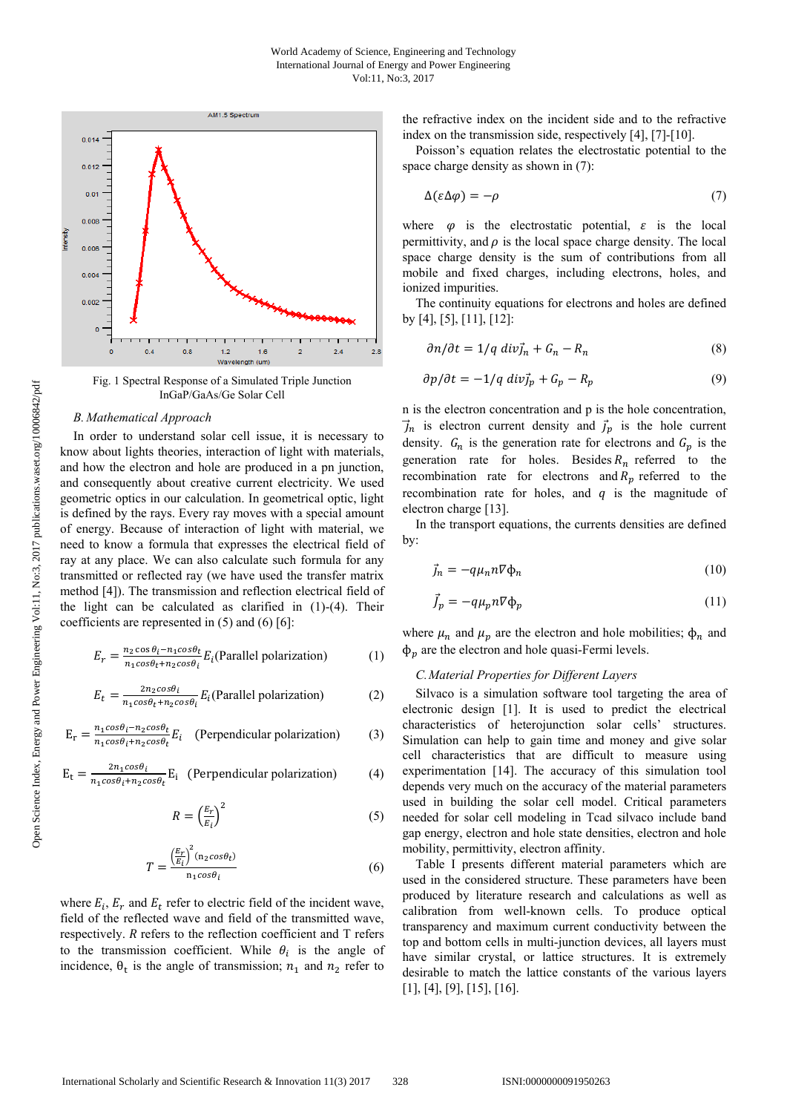

Fig. 1 Spectral Response of a Simulated Triple Junction InGaP/GaAs/Ge Solar Cell

#### *B. Mathematical Approach*

In order to understand solar cell issue, it is necessary to know about lights theories, interaction of light with materials, and how the electron and hole are produced in a pn junction, and consequently about creative current electricity. We used geometric optics in our calculation. In geometrical optic, light is defined by the rays. Every ray moves with a special amount of energy. Because of interaction of light with material, we need to know a formula that expresses the electrical field of ray at any place. We can also calculate such formula for any transmitted or reflected ray (we have used the transfer matrix method [4]). The transmission and reflection electrical field of the light can be calculated as clarified in  $(1)-(4)$ . Their coefficients are represented in  $(5)$  and  $(6)$   $[6]$ :

$$
E_r = \frac{n_2 \cos \theta_i - n_1 \cos \theta_t}{n_1 \cos \theta_t + n_2 \cos \theta_t} E_i
$$
(Parallel polarization) (1)

$$
E_t = \frac{2n_2\cos\theta_i}{n_1\cos\theta_t + n_2\cos\theta_i} E_i
$$
(Parallel polarization) (2)

$$
E_r = \frac{n_1 \cos \theta_i - n_2 \cos \theta_t}{n_1 \cos \theta_i + n_2 \cos \theta_t} E_i
$$
 (Perpendicular polarization) (3)

$$
E_t = \frac{2n_1\cos\theta_i}{n_1\cos\theta_i + n_2\cos\theta_t} E_i
$$
 (Perpendicular polarization) (4)

$$
R = \left(\frac{E_r}{E_i}\right)^2\tag{5}
$$

$$
T = \frac{\left(\frac{E_r}{E_i}\right)^2 (n_2 \cos \theta_t)}{n_1 \cos \theta_t} \tag{6}
$$

where  $E_i$ ,  $E_r$  and  $E_t$  refer to electric field of the incident wave, field of the reflected wave and field of the transmitted wave, respectively.  $R$  refers to the reflection coefficient and  $T$  refers to the transmission coefficient. While  $\theta_i$  is the angle of incidence,  $\theta_t$  is the angle of transmission;  $n_1$  and  $n_2$  refer to

the refractive index on the incident side and to the refractive index on the transmission side, respectively [4], [7]-[10].

Poisson's equation relates the electrostatic potential to the space charge density as shown in (7):

$$
\Delta(\varepsilon \Delta \varphi) = -\rho \tag{7}
$$

where  $\varphi$  is the electrostatic potential,  $\varepsilon$  is the local permittivity, and  $\rho$  is the local space charge density. The local space charge density is the sum of contributions from all mobile and fixed charges, including electrons, holes, and ionized impurities.

The continuity equations for electrons and holes are defined by [4], [5], [11], [12]:

$$
\partial n/\partial t = 1/q \ div \vec{j}_n + G_n - R_n \tag{8}
$$

$$
\partial p/\partial t = -1/q \ div \vec{j}_p + G_p - R_p \tag{9}
$$

n is the electron concentration and p is the hole concentration,  $\vec{j}_n$  is electron current density and  $\vec{j}_p$  is the hole current density.  $G_n$  is the generation rate for electrons and  $G_p$  is the generation rate for holes. Besides  $R_n$  referred to the recombination rate for electrons and  $R_n$  referred to the recombination rate for holes, and  $q$  is the magnitude of electron charge [13].

In the transport equations, the currents densities are defined by:

$$
\vec{j}_n = -q\mu_n n \nabla \Phi_n \tag{10}
$$

$$
\vec{J}_p = -q\mu_p n \nabla \Phi_p \tag{11}
$$

where  $\mu_n$  and  $\mu_p$  are the electron and hole mobilities;  $\phi_n$  and  $\phi_n$  are the electron and hole quasi-Fermi levels.

## *C.Material Properties for Different Layers*

Silvaco is a simulation software tool targeting the area of electronic design [1]. It is used to predict the electrical characteristics of heterojunction solar cells' structures. Simulation can help to gain time and money and give solar cell characteristics that are difficult to measure using experimentation [14]. The accuracy of this simulation tool depends very much on the accuracy of the material parameters used in building the solar cell model. Critical parameters needed for solar cell modeling in Tcad silvaco include band gap energy, electron and hole state densities, electron and hole mobility, permittivity, electron affinity.

Table I presents different material parameters which are used in the considered structure. These parameters have been produced by literature research and calculations as well as calibration from well-known cells. To produce optical transparency and maximum current conductivity between the top and bottom cells in multi-junction devices, all layers must have similar crystal, or lattice structures. It is extremely desirable to match the lattice constants of the various layers [1], [4], [9], [15], [16].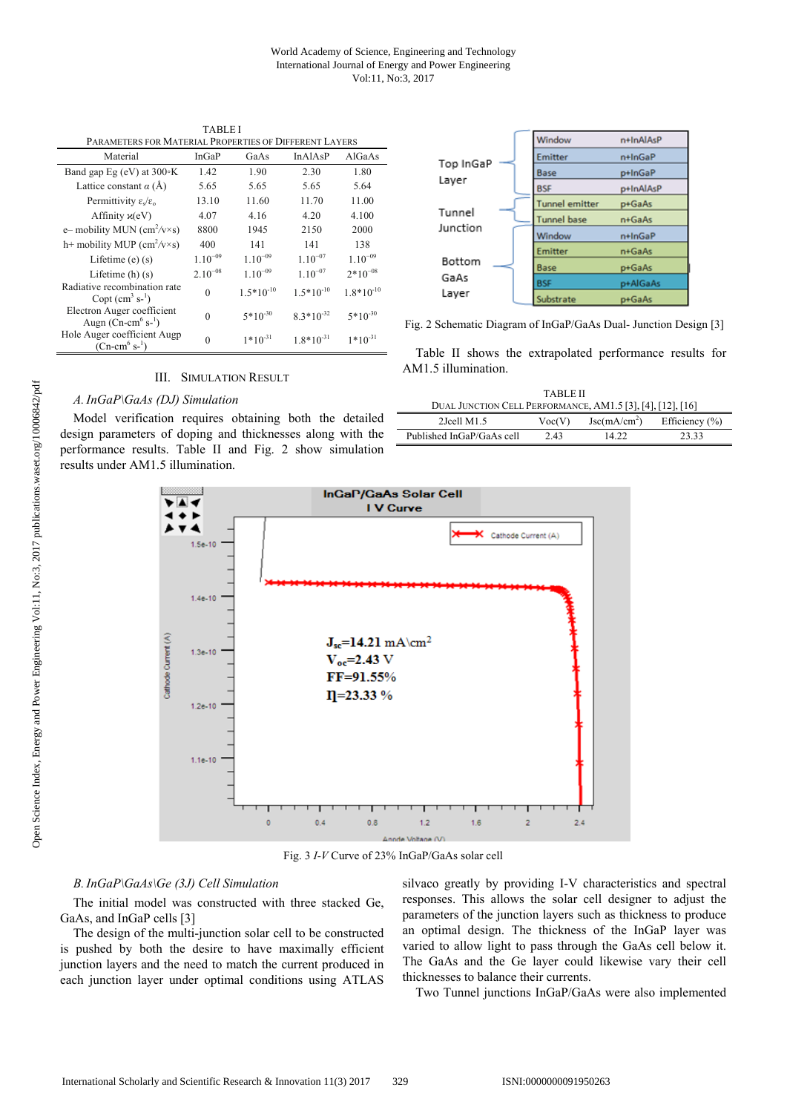| PARAMETERS FOR MATERIAL PROPERTIES OF DIFFERENT LAYERS                   |              |              |                |                |  |
|--------------------------------------------------------------------------|--------------|--------------|----------------|----------------|--|
| Material                                                                 | InGaP        | GaAs         | In AlAsP       | AlGaAs         |  |
| Band gap Eg (eV) at $300\textdegree K$                                   | 1.42         | 1.90         | 2.30           | 1.80           |  |
| Lattice constant $\alpha$ (Å)                                            | 5.65         | 5.65         | 5.65           | 5.64           |  |
| Permittivity $\varepsilon_s/\varepsilon_o$                               | 13.10        | 11.60        | 11.70          | 11.00          |  |
| Affinity $\varkappa$ (eV)                                                | 4.07         | 4.16         | 4.20           | 4.100          |  |
| e-mobility MUN (cm <sup>2</sup> /v×s)                                    | 8800         | 1945         | 2150           | 2000           |  |
| h+ mobility MUP $\text{(cm}^2/\text{v}\times\text{s)}$                   | 400          | 141          | 141            | 138            |  |
| Lifetime $(e)$ $(s)$                                                     | $1.10^{-09}$ | $1.10^{-09}$ | $1.10^{-07}$   | $1.10^{-09}$   |  |
| Lifetime $(h)$ $(s)$                                                     | $2.10^{-08}$ | $1.10^{-09}$ | $1.10^{-07}$   | $2*10^{-08}$   |  |
| Radiative recombination rate<br>Copt $(cm3 s-1)$                         | $\theta$     | $1.5*10-10$  | $1.5*10-10$    | $1.8*10^{-10}$ |  |
| Electron Auger coefficient<br>Augn (Cn-cm <sup>6</sup> s- <sup>1</sup> ) | $\Omega$     | $5*10^{-30}$ | $8.3*10^{-32}$ | $5*10^{30}$    |  |
| Hole Auger coefficient Augp<br>$(Cn-cm^6 s^{-1})$                        | $\Omega$     | $1*10^{-31}$ | $1.8*10^{-31}$ | $1*10^{-31}$   |  |
|                                                                          |              |              |                |                |  |



## III. SIMULATION RESULT

## *A.InGaP\GaAs (DJ) Simulation*

Model verification requires obtaining both the detailed design parameters of doping and thicknesses along with the performance results. Table II and Fig. 2 show simulation results under AM1.5 illumination.



Fig. 2 Schematic Diagram of InGaP/GaAs Dual- Junction Design [3]

Table II shows the extrapolated performance results for AM1.5 illumination.

| <b>TARLE II</b>                                            |        |                              |                    |  |  |
|------------------------------------------------------------|--------|------------------------------|--------------------|--|--|
| DUAL JUNCTION CELL PERFORMANCE, AM1.5 [3], [4], [12], [16] |        |                              |                    |  |  |
| $2$ Jcell M $1.5$                                          | Voc(V) | $\text{Jsc}(m\text{A/cm}^2)$ | Efficiency $(\% )$ |  |  |
| Published InGaP/GaAs cell                                  | 2.43   | 14.22                        | 23.33              |  |  |



Fig. 3 *I-V* Curve of 23% InGaP/GaAs solar cell

## *B.InGaP\GaAs\Ge (3J) Cell Simulation*

The initial model was constructed with three stacked Ge, GaAs, and InGaP cells [3]

The design of the multi-junction solar cell to be constructed is pushed by both the desire to have maximally efficient junction layers and the need to match the current produced in each junction layer under optimal conditions using ATLAS silvaco greatly by providing I-V characteristics and spectral responses. This allows the solar cell designer to adjust the parameters of the junction layers such as thickness to produce an optimal design. The thickness of the InGaP layer was varied to allow light to pass through the GaAs cell below it. The GaAs and the Ge layer could likewise vary their cell thicknesses to balance their currents.

Two Tunnel junctions InGaP/GaAs were also implemented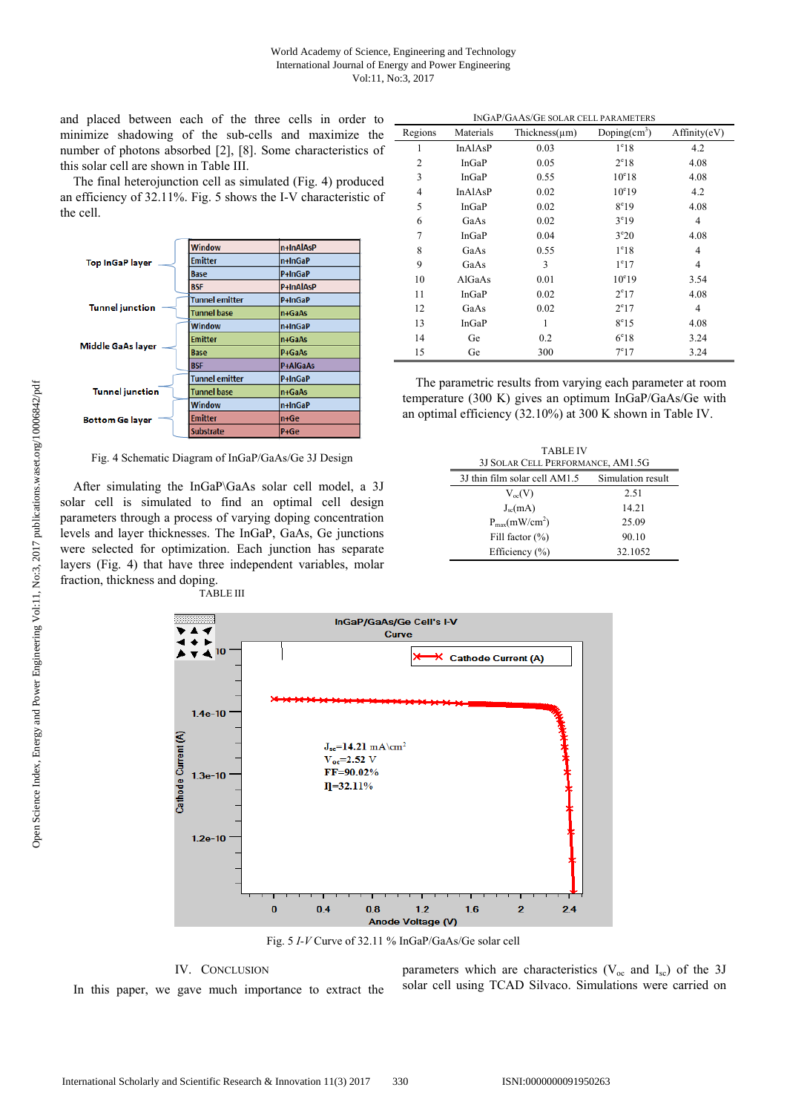and placed between each of the three cells in order to minimize shadowing of the sub-cells and maximize the number of photons absorbed [2], [8]. Some characteristics of this solar cell are shown in Table III.

The final heterojunction cell as simulated (Fig. 4) produced an efficiency of 32.11%. Fig. 5 shows the I-V characteristic of the cell.



Fig. 4 Schematic Diagram of InGaP/GaAs/Ge 3J Design

After simulating the InGaP\GaAs solar cell model, a 3J solar cell is simulated to find an optimal cell design parameters through a process of varying doping concentration levels and layer thicknesses. The InGaP, GaAs, Ge junctions were selected for optimization. Each junction has separate layers (Fig. 4) that have three independent variables, molar fraction, thickness and doping. TABLE III

Regions Materials Thickness( $\mu$ m) Doping(cm<sup>3</sup>) ) Affinity(eV)  $1$  InAlAsP  $0.03$   $1^{\circ}18$  $4.2$ 2 InGaP  $0.05$   $2^e$  $2^e18$  4.08 3 InGaP 0.55 10<sup>e</sup>18 4.08 4 InAlAsP 0.02 10<sup>e</sup>19 19 4.2 5 InGaP 0.02 8°19 4.08 6 GaAs  $0.02$  $3^e19$  4 7 InGaP  $0.04$  3<sup>e</sup>  $3^e 20$  4.08 8 GaAs  $0.55$   $1^e$  $1^e18$  4 9 GaAs  $3$   $1^e$  $1^{\circ}17$  4 10  $AlGaAs$  0.01  $10^{e}19$ 3.54 11  $InGaP$  0.02  $2^e17$ 4.08  $12$  GaAs  $0.02$  $2^e17$  4 13 InGaP 1  $8^e$ 15 4.08 14 Ge 0.2 6<sup>e</sup> 6<sup>e</sup>18 3.24 15 Ge 300 7<sup>e</sup>  $7^{\circ}17$  3.24

INGAP/GAAS/GE SOLAR CELL PARAMETERS

The parametric results from varying each parameter at room temperature (300 K) gives an optimum InGaP/GaAs/Ge with an optimal efficiency (32.10%) at 300 K shown in Table IV.

| <b>TABLE IV</b><br>3J SOLAR CELL PERFORMANCE, AM1.5G |                               |                   |  |  |
|------------------------------------------------------|-------------------------------|-------------------|--|--|
|                                                      | 3J thin film solar cell AM1.5 | Simulation result |  |  |
|                                                      | $V_{oc}(V)$                   | 2.51              |  |  |
|                                                      | $J_{sc}(mA)$                  | 14.21             |  |  |
|                                                      | $P_{max}(mW/cm^2)$            | 25.09             |  |  |
|                                                      | Fill factor $(\% )$           | 90.10             |  |  |
|                                                      | Efficiency (%)                | 32.1052           |  |  |



Fig. 5 *I-V* Curve of 32.11 % InGaP/GaAs/Ge solar cell

## IV. CONCLUSION In this paper, we gave much importance to extract the

parameters which are characteristics ( $V_{oc}$  and  $I_{sc}$ ) of the 3J solar cell using TCAD Silvaco. Simulations were carried on